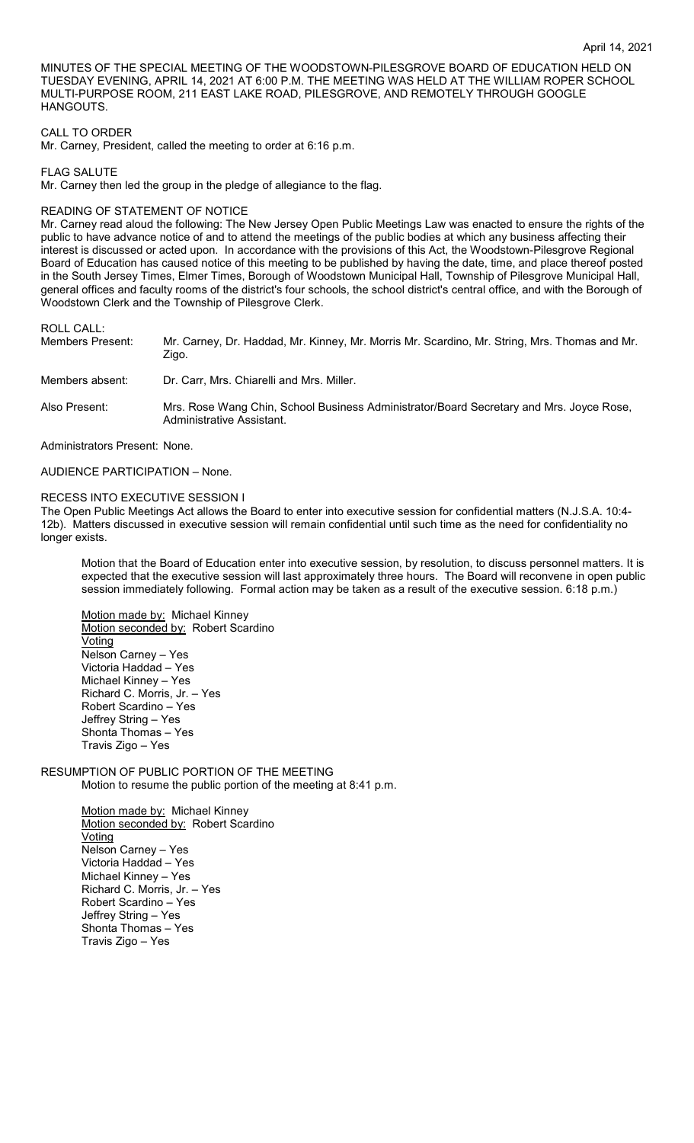MINUTES OF THE SPECIAL MEETING OF THE WOODSTOWN-PILESGROVE BOARD OF EDUCATION HELD ON TUESDAY EVENING, APRIL 14, 2021 AT 6:00 P.M. THE MEETING WAS HELD AT THE WILLIAM ROPER SCHOOL MULTI-PURPOSE ROOM, 211 EAST LAKE ROAD, PILESGROVE, AND REMOTELY THROUGH GOOGLE HANGOUTS.

## CALL TO ORDER

Mr. Carney, President, called the meeting to order at 6:16 p.m.

FLAG SALUTE

Mr. Carney then led the group in the pledge of allegiance to the flag.

## READING OF STATEMENT OF NOTICE

Mr. Carney read aloud the following: The New Jersey Open Public Meetings Law was enacted to ensure the rights of the public to have advance notice of and to attend the meetings of the public bodies at which any business affecting their interest is discussed or acted upon. In accordance with the provisions of this Act, the Woodstown-Pilesgrove Regional Board of Education has caused notice of this meeting to be published by having the date, time, and place thereof posted in the South Jersey Times, Elmer Times, Borough of Woodstown Municipal Hall, Township of Pilesgrove Municipal Hall, general offices and faculty rooms of the district's four schools, the school district's central office, and with the Borough of Woodstown Clerk and the Township of Pilesgrove Clerk.

ROLL CALL:

| Members Present: | Mr. Carney, Dr. Haddad, Mr. Kinney, Mr. Morris Mr. Scardino, Mr. String, Mrs. Thomas and Mr.<br>Ziao.                |
|------------------|----------------------------------------------------------------------------------------------------------------------|
| Members absent:  | Dr. Carr, Mrs. Chiarelli and Mrs. Miller.                                                                            |
| Also Present:    | Mrs. Rose Wang Chin, School Business Administrator/Board Secretary and Mrs. Joyce Rose,<br>Administrative Assistant. |

Administrators Present: None.

AUDIENCE PARTICIPATION – None.

## RECESS INTO EXECUTIVE SESSION I

The Open Public Meetings Act allows the Board to enter into executive session for confidential matters (N.J.S.A. 10:4- 12b). Matters discussed in executive session will remain confidential until such time as the need for confidentiality no longer exists.

Motion that the Board of Education enter into executive session, by resolution, to discuss personnel matters. It is expected that the executive session will last approximately three hours. The Board will reconvene in open public session immediately following. Formal action may be taken as a result of the executive session. 6:18 p.m.)

Motion made by: Michael Kinney Motion seconded by: Robert Scardino **Voting** Nelson Carney – Yes Victoria Haddad – Yes Michael Kinney – Yes Richard C. Morris, Jr. – Yes Robert Scardino – Yes Jeffrey String – Yes Shonta Thomas – Yes Travis Zigo – Yes

RESUMPTION OF PUBLIC PORTION OF THE MEETING Motion to resume the public portion of the meeting at 8:41 p.m.

> Motion made by: Michael Kinney Motion seconded by: Robert Scardino **Voting** Nelson Carney – Yes Victoria Haddad – Yes Michael Kinney – Yes Richard C. Morris, Jr. – Yes Robert Scardino – Yes Jeffrey String – Yes Shonta Thomas – Yes Travis Zigo – Yes